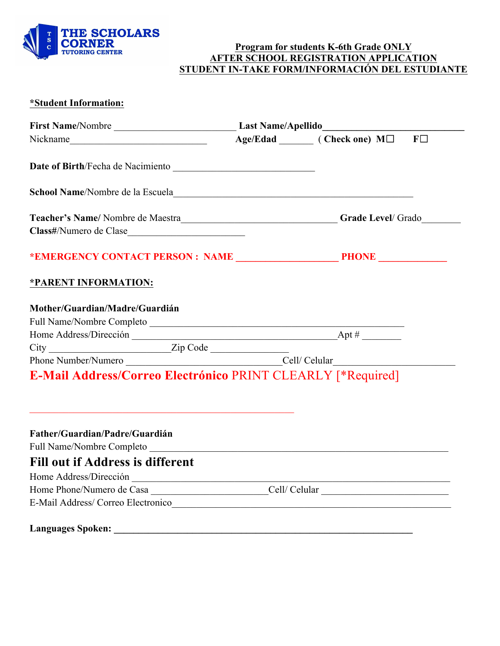

### **Program for students K-6th Grade ONLY AFTER SCHOOL REGISTRATION APPLICATION STUDENT IN-TAKE FORM/INFORMACIÓN DEL ESTUDIANTE**

### **\*Student Information:**

| Nickname MILLER MELLER Age/Edad  MILLER MILLER MILLER MILLER MILLER MILLER MILLER MILLER MILLER MILLER MILLER MILLER MILLER MILLER MILLER MILLER MILLER MILLER MILLER MILLER MILLER MILLER MILLER MILLER MILLER MILLER MILLER |  | $F\Box$ |  |
|-------------------------------------------------------------------------------------------------------------------------------------------------------------------------------------------------------------------------------|--|---------|--|
|                                                                                                                                                                                                                               |  |         |  |
|                                                                                                                                                                                                                               |  |         |  |
| Teacher's Name/Nombre de Maestra___________________________________Grade Level/Grado________________                                                                                                                          |  |         |  |
|                                                                                                                                                                                                                               |  |         |  |
|                                                                                                                                                                                                                               |  |         |  |
| *PARENT INFORMATION:                                                                                                                                                                                                          |  |         |  |
| Mother/Guardian/Madre/Guardián                                                                                                                                                                                                |  |         |  |
| Full Name/Nombre Completo                                                                                                                                                                                                     |  |         |  |
|                                                                                                                                                                                                                               |  |         |  |
|                                                                                                                                                                                                                               |  |         |  |
|                                                                                                                                                                                                                               |  |         |  |
| E-Mail Address/Correo Electrónico PRINT CLEARLY [*Required]                                                                                                                                                                   |  |         |  |
|                                                                                                                                                                                                                               |  |         |  |
|                                                                                                                                                                                                                               |  |         |  |
| Father/Guardian/Padre/Guardián                                                                                                                                                                                                |  |         |  |
| Full Name/Nombre Completo<br><b>Fill out if Address is different</b>                                                                                                                                                          |  |         |  |
|                                                                                                                                                                                                                               |  |         |  |
|                                                                                                                                                                                                                               |  |         |  |

**Languages Spoken: \_\_\_\_\_\_\_\_\_\_\_\_\_\_\_\_\_\_\_\_\_\_\_\_\_\_\_\_\_\_\_\_\_\_\_\_\_\_\_\_\_\_\_\_\_\_\_\_\_\_\_\_\_\_\_\_\_\_\_\_\_**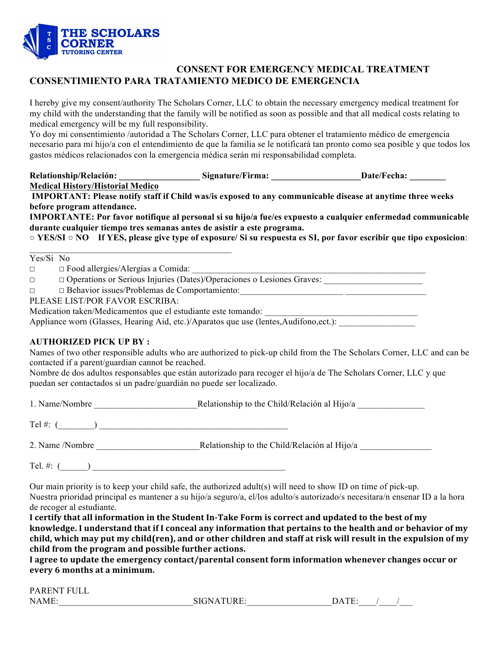

### **CONSENT FOR EMERGENCY MEDICAL TREATMENT CONSENTIMIENTO PARA TRATAMIENTO MEDICO DE EMERGENCIA**

I hereby give my consent/authority The Scholars Corner, LLC to obtain the necessary emergency medical treatment for my child with the understanding that the family will be notified as soon as possible and that all medical costs relating to medical emergency will be my full responsibility.

Yo doy mi consentimiento /autoridad a The Scholars Corner, LLC para obtener el tratamiento médico de emergencia necesario para mi hijo/a con el entendimiento de que la familia se le notificará tan pronto como sea posible y que todos los gastos médicos relacionados con la emergencia médica serán mi responsabilidad completa.

**Relationship/Relación: \_\_\_\_\_\_\_\_\_\_\_\_\_\_\_\_\_\_ Signature/Firma: \_\_\_\_\_\_\_\_\_\_\_\_\_\_\_\_\_\_\_\_Date/Fecha: \_\_\_\_\_\_\_\_ Medical History/Historial Medico**

**IMPORTANT: Please notify staff if Child was/is exposed to any communicable disease at anytime three weeks before program attendance.** 

**IMPORTANTE: Por favor notifique al personal si su hijo/a fue/es expuesto a cualquier enfermedad communicable durante cualquier tiempo tres semanas antes de asistir a este programa.**

**○ YES/SI ○ NO If YES, please give type of exposure/ Si su respuesta es SI, por favor escribir que tipo exposicion**:

Yes/Si No

□ □ Food allergies/Alergias a Comida:

- ☐ ☐ Operations or Serious Injuries (Dates)/Operaciones o Lesiones Graves: \_\_\_\_\_\_\_\_\_\_\_\_\_\_\_\_\_\_\_\_\_\_
- ☐ ☐ Behavior issues/Problemas de Comportamiento:\_\_\_\_\_\_\_\_\_\_\_\_\_\_\_\_\_\_\_\_\_\_\_ \_\_\_\_\_\_\_\_\_\_\_\_\_\_\_\_\_\_

PLEASE LIST/POR FAVOR ESCRIBA:

Medication taken/Medicamentos que el estudiante este tomando:

Appliance worn (Glasses, Hearing Aid, etc.)/Aparatos que use (lentes,Audifono,ect.):

#### **AUTHORIZED PICK UP BY :**

Names of two other responsible adults who are authorized to pick-up child from the The Scholars Corner, LLC and can be contacted if a parent/guardian cannot be reached.

Nombre de dos adultos responsables que están autorizado para recoger el hijo/a de The Scholars Corner, LLC y que puedan ser contactados si un padre/guardián no puede ser localizado.

1. Name/Nombre Relationship to the Child/Relación al Hijo/a

Tel #: (\_\_\_\_\_\_\_\_) \_\_\_\_\_\_\_\_\_\_\_\_\_\_\_\_\_\_\_\_\_\_\_\_\_\_\_\_\_\_\_\_\_\_\_\_\_\_\_\_\_\_

2. Name /Nombre Relationship to the Child/Relación al Hijo/a

Tel.  $\#: ($ 

Our main priority is to keep your child safe, the authorized adult(s) will need to show ID on time of pick-up. Nuestra prioridad principal es mantener a su hijo/a seguro/a, el/los adulto/s autorizado/s necesitara/n ensenar ID a la hora de recoger al estudiante.

I certify that all information in the Student In-Take Form is correct and updated to the best of my knowledge. I understand that if I conceal any information that pertains to the health and or behavior of my child, which may put my child(ren), and or other children and staff at risk will result in the expulsion of my child from the program and possible further actions.

**I** agree to update the emergency contact/parental consent form information whenever changes occur or every 6 months at a minimum.

| <b>PARENT FULL</b> |            |         |  |
|--------------------|------------|---------|--|
| <b>NAME</b>        | SIGNATURE. | 7 A T F |  |